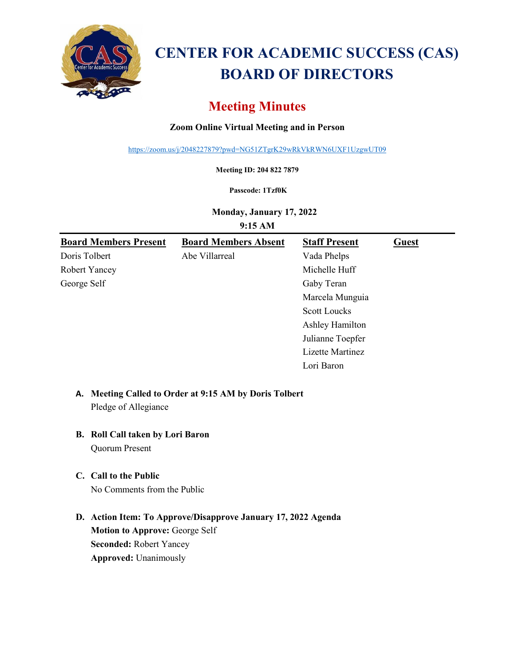

# **CENTER FOR ACADEMIC SUCCESS (CAS) BOARD OF DIRECTORS**

# **Meeting Minutes**

# **Zoom Online Virtual Meeting and in Person**

<https://zoom.us/j/2048227879?pwd=NG51ZTgrK29wRkVkRWN6UXF1UzgwUT09>

**Meeting ID: 204 822 7879**

#### **Passcode: 1Tzf0K**

**Monday, January 17, 2022**

**9:15 AM**

| <b>Board Members Present</b> | <b>Board Members Absent</b> | <b>Staff Present</b> | Guest |
|------------------------------|-----------------------------|----------------------|-------|
| Doris Tolbert                | Abe Villarreal              | Vada Phelps          |       |
| Robert Yancey                |                             | Michelle Huff        |       |
| George Self                  |                             | Gaby Teran           |       |
|                              |                             | Marcela Munguia      |       |
|                              |                             | <b>Scott Loucks</b>  |       |
|                              |                             | Ashley Hamilton      |       |
|                              |                             | Julianne Toepfer     |       |
|                              |                             | Lizette Martinez     |       |
|                              |                             | Lori Baron           |       |

# **A. Meeting Called to Order at 9:15 AM by Doris Tolbert** Pledge of Allegiance

# **B. Roll Call taken by Lori Baron**

Quorum Present

### **C. Call to the Public**

No Comments from the Public

**D. Action Item: To Approve/Disapprove January 17, 2022 Agenda Motion to Approve:** George Self **Seconded:** Robert Yancey **Approved:** Unanimously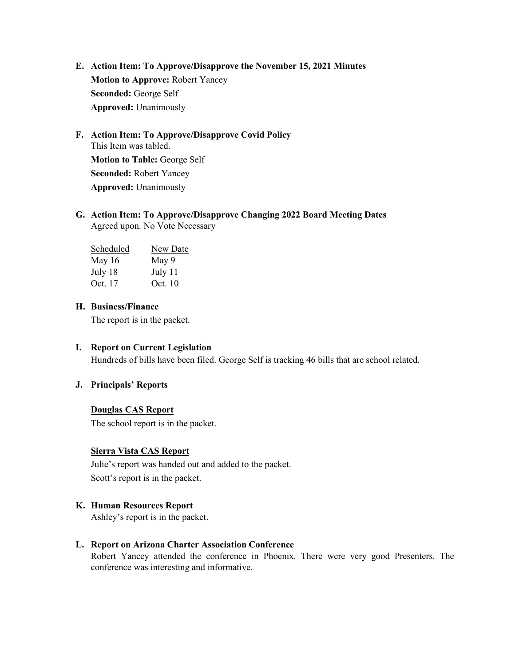- **E. Action Item: To Approve/Disapprove the November 15, 2021 Minutes Motion to Approve:** Robert Yancey **Seconded:** George Self **Approved:** Unanimously
- **F. Action Item: To Approve/Disapprove Covid Policy** This Item was tabled. **Motion to Table:** George Self **Seconded:** Robert Yancey **Approved:** Unanimously

#### **G. Action Item: To Approve/Disapprove Changing 2022 Board Meeting Dates** Agreed upon. No Vote Necessary

| Scheduled | New Date |
|-----------|----------|
| May $16$  | May 9    |
| July 18   | July 11  |
| Oct. 17   | Oct. 10  |

#### **H. Business/Finance**

The report is in the packet.

#### **I. Report on Current Legislation**

Hundreds of bills have been filed. George Self is tracking 46 bills that are school related.

#### **J. Principals' Reports**

#### **Douglas CAS Report**

The school report is in the packet.

#### **Sierra Vista CAS Report**

Julie's report was handed out and added to the packet. Scott's report is in the packet.

#### **K. Human Resources Report**

Ashley's report is in the packet.

#### **L. Report on Arizona Charter Association Conference**

Robert Yancey attended the conference in Phoenix. There were very good Presenters. The conference was interesting and informative.